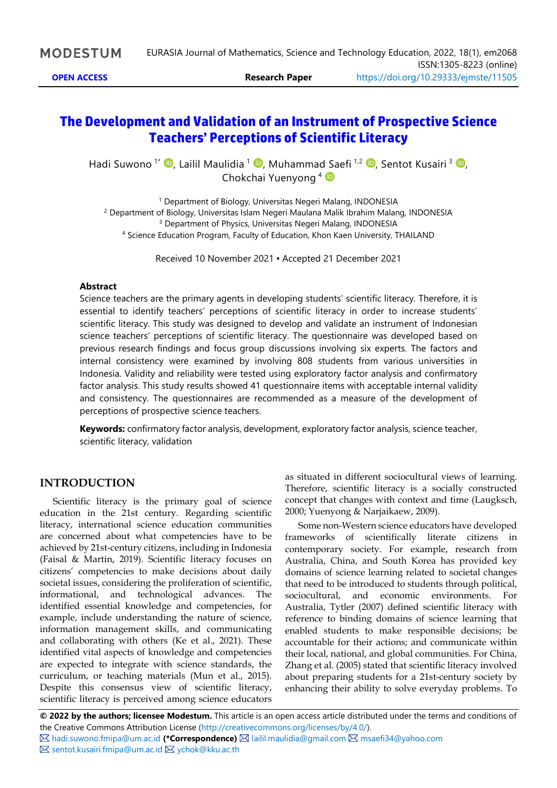# **The Development and Validation of an Instrument of Prospective Science Teachers' Perceptions of Scientific Literacy**

Hadi Suwono <sup>1\*</sup> <sup>D</sup>[,](https://orcid.org/0000-0002-9810-8954) Lailil Maulidia <sup>1</sup> D, Muhammad Saefi <sup>1,2</sup> D, Sentot Kusairi <sup>3</sup> D, Chokchai Yuenyong<sup>4</sup>

<sup>1</sup> Department of Biology, Universitas Negeri Malang, INDONESIA <sup>2</sup> Department of Biology, Universitas Islam Negeri Maulana Malik Ibrahim Malang, INDONESIA <sup>3</sup> Department of Physics, Universitas Negeri Malang, INDONESIA <sup>4</sup> Science Education Program, Faculty of Education, Khon Kaen University, THAILAND

Received 10 November 2021 ▪ Accepted 21 December 2021

#### **Abstract**

Science teachers are the primary agents in developing students' scientific literacy. Therefore, it is essential to identify teachers' perceptions of scientific literacy in order to increase students' scientific literacy. This study was designed to develop and validate an instrument of Indonesian science teachers' perceptions of scientific literacy. The questionnaire was developed based on previous research findings and focus group discussions involving six experts. The factors and internal consistency were examined by involving 808 students from various universities in Indonesia. Validity and reliability were tested using exploratory factor analysis and confirmatory factor analysis. This study results showed 41 questionnaire items with acceptable internal validity and consistency. The questionnaires are recommended as a measure of the development of perceptions of prospective science teachers.

**Keywords:** confirmatory factor analysis, development, exploratory factor analysis, science teacher, scientific literacy, validation

#### **INTRODUCTION**

Scientific literacy is the primary goal of science education in the 21st century. Regarding scientific literacy, international science education communities are concerned about what competencies have to be achieved by 21st-century citizens, including in Indonesia (Faisal & Martin, 2019). Scientific literacy focuses on citizens' competencies to make decisions about daily societal issues, considering the proliferation of scientific, informational, and technological advances. The identified essential knowledge and competencies, for example, include understanding the nature of science, information management skills, and communicating and collaborating with others (Ke et al., 2021). These identified vital aspects of knowledge and competencies are expected to integrate with science standards, the curriculum, or teaching materials (Mun et al., 2015). Despite this consensus view of scientific literacy, scientific literacy is perceived among science educators

as situated in different sociocultural views of learning. Therefore, scientific literacy is a socially constructed concept that changes with context and time (Laugksch, 2000; Yuenyong & Narjaikaew, 2009).

Some non-Western science educators have developed frameworks of scientifically literate citizens in contemporary society. For example, research from Australia, China, and South Korea has provided key domains of science learning related to societal changes that need to be introduced to students through political, sociocultural, and economic environments. For Australia, Tytler (2007) defined scientific literacy with reference to binding domains of science learning that enabled students to make responsible decisions; be accountable for their actions; and communicate within their local, national, and global communities. For China, Zhang et al. (2005) stated that scientific literacy involved about preparing students for a 21st-century society by enhancing their ability to solve everyday problems. To

**© 2022 by the authors; licensee Modestum.** This article is an open access article distributed under the terms and conditions of the Creative Commons Attribution License [\(http://creativecommons.org/licenses/by/4.0/\)](http://creativecommons.org/licenses/by/4.0/).

[hadi.suwono.fmipa@um.ac.id](mailto:hadi.suwono.fmipa@um.ac.id) **(\*Correspondence)** [lailil.maulidia@gmail.com](mailto:lailil.maulidia@gmail.com) [msaefi34@yahoo.com](mailto:msaefi34@yahoo.com) ⊠ [sentot.kusairi.fmipa@um.ac.id](mailto:sentot.kusairi.fmipa@um.ac.id) ⊠ [ychok@kku.ac.th](mailto:ychok@kku.ac.th)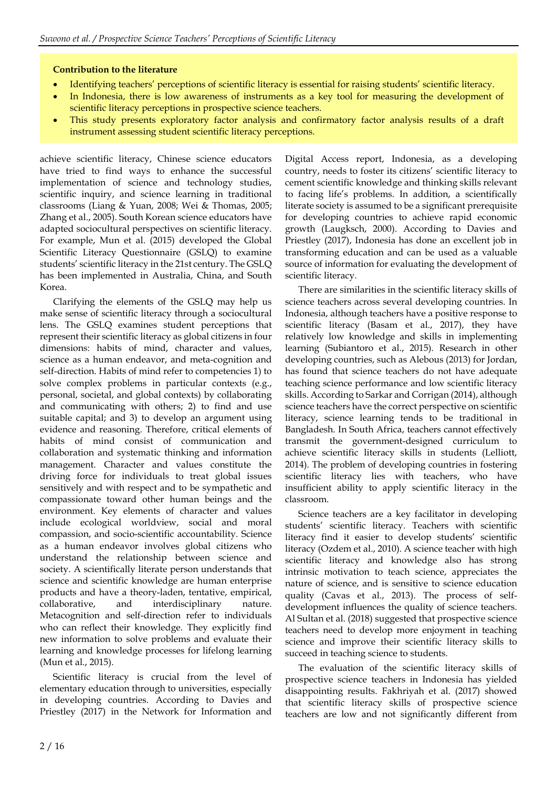#### **Contribution to the literature**

- Identifying teachers' perceptions of scientific literacy is essential for raising students' scientific literacy.
- In Indonesia, there is low awareness of instruments as a key tool for measuring the development of scientific literacy perceptions in prospective science teachers.
- This study presents exploratory factor analysis and confirmatory factor analysis results of a draft instrument assessing student scientific literacy perceptions.

achieve scientific literacy, Chinese science educators have tried to find ways to enhance the successful implementation of science and technology studies, scientific inquiry, and science learning in traditional classrooms (Liang & Yuan, 2008; Wei & Thomas, 2005; Zhang et al., 2005). South Korean science educators have adapted sociocultural perspectives on scientific literacy. For example, Mun et al. (2015) developed the Global Scientific Literacy Questionnaire (GSLQ) to examine students' scientific literacy in the 21st century. The GSLQ has been implemented in Australia, China, and South Korea.

Clarifying the elements of the GSLQ may help us make sense of scientific literacy through a sociocultural lens. The GSLQ examines student perceptions that represent their scientific literacy as global citizens in four dimensions: habits of mind, character and values, science as a human endeavor, and meta-cognition and self-direction. Habits of mind refer to competencies 1) to solve complex problems in particular contexts (e.g., personal, societal, and global contexts) by collaborating and communicating with others; 2) to find and use suitable capital; and 3) to develop an argument using evidence and reasoning. Therefore, critical elements of habits of mind consist of communication and collaboration and systematic thinking and information management. Character and values constitute the driving force for individuals to treat global issues sensitively and with respect and to be sympathetic and compassionate toward other human beings and the environment. Key elements of character and values include ecological worldview, social and moral compassion, and socio-scientific accountability. Science as a human endeavor involves global citizens who understand the relationship between science and society. A scientifically literate person understands that science and scientific knowledge are human enterprise products and have a theory-laden, tentative, empirical, collaborative, and interdisciplinary nature. Metacognition and self-direction refer to individuals who can reflect their knowledge. They explicitly find new information to solve problems and evaluate their learning and knowledge processes for lifelong learning (Mun et al., 2015).

Scientific literacy is crucial from the level of elementary education through to universities, especially in developing countries. According to Davies and Priestley (2017) in the Network for Information and

Digital Access report, Indonesia, as a developing country, needs to foster its citizens' scientific literacy to cement scientific knowledge and thinking skills relevant to facing life's problems. In addition, a scientifically literate society is assumed to be a significant prerequisite for developing countries to achieve rapid economic growth (Laugksch, 2000). According to Davies and Priestley (2017), Indonesia has done an excellent job in transforming education and can be used as a valuable source of information for evaluating the development of scientific literacy.

There are similarities in the scientific literacy skills of science teachers across several developing countries. In Indonesia, although teachers have a positive response to scientific literacy (Basam et al., 2017), they have relatively low knowledge and skills in implementing learning (Subiantoro et al., 2015). Research in other developing countries, such as Alebous (2013) for Jordan, has found that science teachers do not have adequate teaching science performance and low scientific literacy skills. According to Sarkar and Corrigan (2014), although science teachers have the correct perspective on scientific literacy, science learning tends to be traditional in Bangladesh. In South Africa, teachers cannot effectively transmit the government-designed curriculum to achieve scientific literacy skills in students (Lelliott, 2014). The problem of developing countries in fostering scientific literacy lies with teachers, who have insufficient ability to apply scientific literacy in the classroom.

Science teachers are a key facilitator in developing students' scientific literacy. Teachers with scientific literacy find it easier to develop students' scientific literacy (Ozdem et al., 2010). A science teacher with high scientific literacy and knowledge also has strong intrinsic motivation to teach science, appreciates the nature of science, and is sensitive to science education quality (Cavas et al., 2013). The process of selfdevelopment influences the quality of science teachers. Al Sultan et al. (2018) suggested that prospective science teachers need to develop more enjoyment in teaching science and improve their scientific literacy skills to succeed in teaching science to students.

The evaluation of the scientific literacy skills of prospective science teachers in Indonesia has yielded disappointing results. Fakhriyah et al. (2017) showed that scientific literacy skills of prospective science teachers are low and not significantly different from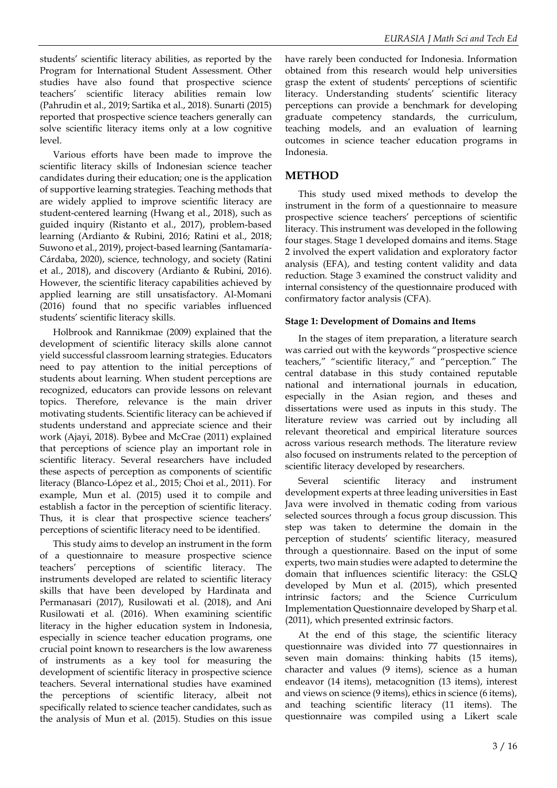students' scientific literacy abilities, as reported by the Program for International Student Assessment. Other studies have also found that prospective science teachers' scientific literacy abilities remain low (Pahrudin et al., 2019; Sartika et al., 2018). Sunarti (2015) reported that prospective science teachers generally can solve scientific literacy items only at a low cognitive level.

Various efforts have been made to improve the scientific literacy skills of Indonesian science teacher candidates during their education; one is the application of supportive learning strategies. Teaching methods that are widely applied to improve scientific literacy are student-centered learning (Hwang et al., 2018), such as guided inquiry (Ristanto et al., 2017), problem-based learning (Ardianto & Rubini, 2016; Ratini et al., 2018; Suwono et al., 2019), project-based learning (Santamaría‐ Cárdaba, 2020), science, technology, and society (Ratini et al., 2018), and discovery (Ardianto & Rubini, 2016). However, the scientific literacy capabilities achieved by applied learning are still unsatisfactory. Al-Momani (2016) found that no specific variables influenced students' scientific literacy skills.

Holbrook and Rannikmae (2009) explained that the development of scientific literacy skills alone cannot yield successful classroom learning strategies. Educators need to pay attention to the initial perceptions of students about learning. When student perceptions are recognized, educators can provide lessons on relevant topics. Therefore, relevance is the main driver motivating students. Scientific literacy can be achieved if students understand and appreciate science and their work (Ajayi, 2018). Bybee and McCrae (2011) explained that perceptions of science play an important role in scientific literacy. Several researchers have included these aspects of perception as components of scientific literacy (Blanco-López et al., 2015; Choi et al., 2011). For example, Mun et al. (2015) used it to compile and establish a factor in the perception of scientific literacy. Thus, it is clear that prospective science teachers' perceptions of scientific literacy need to be identified.

This study aims to develop an instrument in the form of a questionnaire to measure prospective science teachers' perceptions of scientific literacy. The instruments developed are related to scientific literacy skills that have been developed by Hardinata and Permanasari (2017), Rusilowati et al. (2018), and Ani Rusilowati et al. (2016). When examining scientific literacy in the higher education system in Indonesia, especially in science teacher education programs, one crucial point known to researchers is the low awareness of instruments as a key tool for measuring the development of scientific literacy in prospective science teachers. Several international studies have examined the perceptions of scientific literacy, albeit not specifically related to science teacher candidates, such as the analysis of Mun et al. (2015). Studies on this issue

have rarely been conducted for Indonesia. Information obtained from this research would help universities grasp the extent of students' perceptions of scientific literacy. Understanding students' scientific literacy perceptions can provide a benchmark for developing graduate competency standards, the curriculum, teaching models, and an evaluation of learning outcomes in science teacher education programs in Indonesia.

## **METHOD**

This study used mixed methods to develop the instrument in the form of a questionnaire to measure prospective science teachers' perceptions of scientific literacy. This instrument was developed in the following four stages. Stage 1 developed domains and items. Stage 2 involved the expert validation and exploratory factor analysis (EFA), and testing content validity and data reduction. Stage 3 examined the construct validity and internal consistency of the questionnaire produced with confirmatory factor analysis (CFA).

#### **Stage 1: Development of Domains and Items**

In the stages of item preparation, a literature search was carried out with the keywords "prospective science teachers," "scientific literacy," and "perception." The central database in this study contained reputable national and international journals in education, especially in the Asian region, and theses and dissertations were used as inputs in this study. The literature review was carried out by including all relevant theoretical and empirical literature sources across various research methods. The literature review also focused on instruments related to the perception of scientific literacy developed by researchers.

Several scientific literacy and instrument development experts at three leading universities in East Java were involved in thematic coding from various selected sources through a focus group discussion. This step was taken to determine the domain in the perception of students' scientific literacy, measured through a questionnaire. Based on the input of some experts, two main studies were adapted to determine the domain that influences scientific literacy: the GSLQ developed by Mun et al. (2015), which presented intrinsic factors; and the Science Curriculum Implementation Questionnaire developed by Sharp et al. (2011), which presented extrinsic factors.

At the end of this stage, the scientific literacy questionnaire was divided into 77 questionnaires in seven main domains: thinking habits (15 items), character and values (9 items), science as a human endeavor (14 items), metacognition (13 items), interest and views on science (9 items), ethics in science (6 items), and teaching scientific literacy (11 items). The questionnaire was compiled using a Likert scale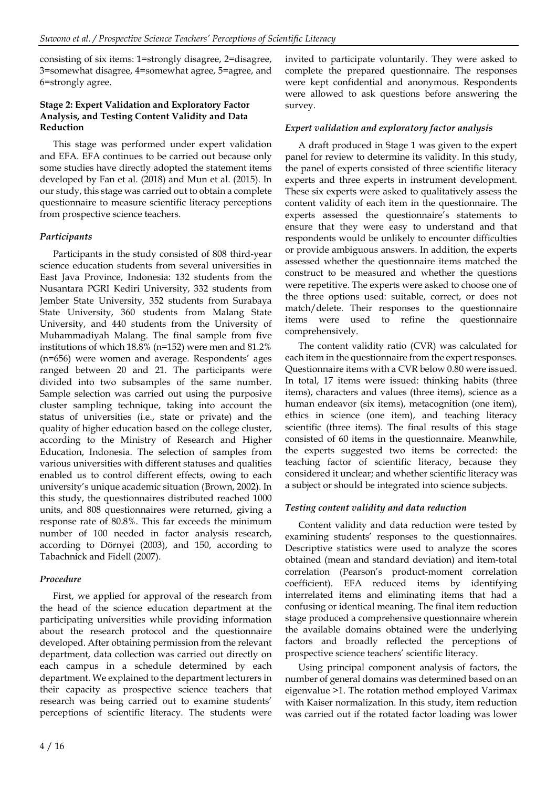consisting of six items: 1=strongly disagree, 2=disagree, 3=somewhat disagree, 4=somewhat agree, 5=agree, and 6=strongly agree.

#### **Stage 2: Expert Validation and Exploratory Factor Analysis, and Testing Content Validity and Data Reduction**

This stage was performed under expert validation and EFA. EFA continues to be carried out because only some studies have directly adopted the statement items developed by Fan et al. (2018) and Mun et al. (2015). In our study, this stage was carried out to obtain a complete questionnaire to measure scientific literacy perceptions from prospective science teachers.

## *Participants*

Participants in the study consisted of 808 third-year science education students from several universities in East Java Province, Indonesia: 132 students from the Nusantara PGRI Kediri University, 332 students from Jember State University, 352 students from Surabaya State University, 360 students from Malang State University, and 440 students from the University of Muhammadiyah Malang. The final sample from five institutions of which 18.8% (n=152) were men and 81.2% (n=656) were women and average. Respondents' ages ranged between 20 and 21. The participants were divided into two subsamples of the same number. Sample selection was carried out using the purposive cluster sampling technique, taking into account the status of universities (i.e., state or private) and the quality of higher education based on the college cluster, according to the Ministry of Research and Higher Education, Indonesia. The selection of samples from various universities with different statuses and qualities enabled us to control different effects, owing to each university's unique academic situation (Brown, 2002). In this study, the questionnaires distributed reached 1000 units, and 808 questionnaires were returned, giving a response rate of 80.8%. This far exceeds the minimum number of 100 needed in factor analysis research, according to Dörnyei (2003), and 150, according to Tabachnick and Fidell (2007).

### *Procedure*

First, we applied for approval of the research from the head of the science education department at the participating universities while providing information about the research protocol and the questionnaire developed. After obtaining permission from the relevant department, data collection was carried out directly on each campus in a schedule determined by each department. We explained to the department lecturers in their capacity as prospective science teachers that research was being carried out to examine students' perceptions of scientific literacy. The students were

invited to participate voluntarily. They were asked to complete the prepared questionnaire. The responses were kept confidential and anonymous. Respondents were allowed to ask questions before answering the survey.

## *Expert validation and exploratory factor analysis*

A draft produced in Stage 1 was given to the expert panel for review to determine its validity. In this study, the panel of experts consisted of three scientific literacy experts and three experts in instrument development. These six experts were asked to qualitatively assess the content validity of each item in the questionnaire. The experts assessed the questionnaire's statements to ensure that they were easy to understand and that respondents would be unlikely to encounter difficulties or provide ambiguous answers. In addition, the experts assessed whether the questionnaire items matched the construct to be measured and whether the questions were repetitive. The experts were asked to choose one of the three options used: suitable, correct, or does not match/delete. Their responses to the questionnaire items were used to refine the questionnaire comprehensively.

The content validity ratio (CVR) was calculated for each item in the questionnaire from the expert responses. Questionnaire items with a CVR below 0.80 were issued. In total, 17 items were issued: thinking habits (three items), characters and values (three items), science as a human endeavor (six items), metacognition (one item), ethics in science (one item), and teaching literacy scientific (three items). The final results of this stage consisted of 60 items in the questionnaire. Meanwhile, the experts suggested two items be corrected: the teaching factor of scientific literacy, because they considered it unclear; and whether scientific literacy was a subject or should be integrated into science subjects.

### *Testing content validity and data reduction*

Content validity and data reduction were tested by examining students' responses to the questionnaires. Descriptive statistics were used to analyze the scores obtained (mean and standard deviation) and item-total correlation (Pearson's product-moment correlation coefficient). EFA reduced items by identifying interrelated items and eliminating items that had a confusing or identical meaning. The final item reduction stage produced a comprehensive questionnaire wherein the available domains obtained were the underlying factors and broadly reflected the perceptions of prospective science teachers' scientific literacy.

Using principal component analysis of factors, the number of general domains was determined based on an eigenvalue >1. The rotation method employed Varimax with Kaiser normalization. In this study, item reduction was carried out if the rotated factor loading was lower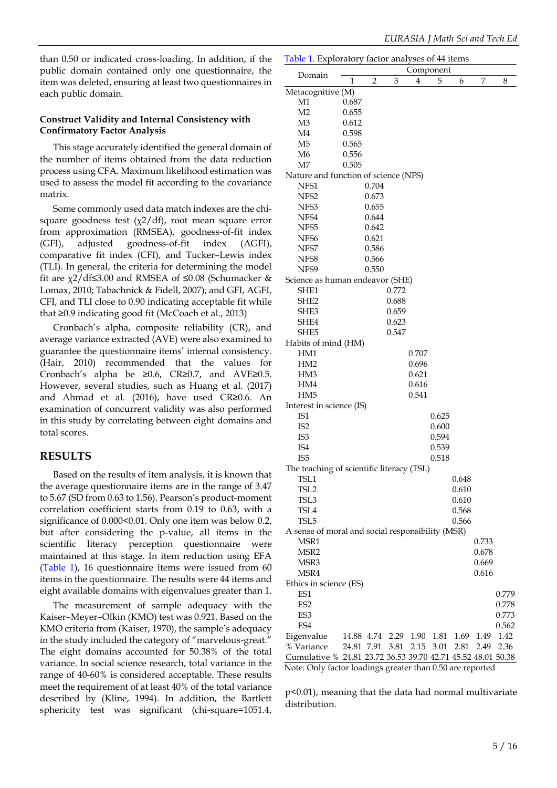than 0.50 or indicated cross-loading. In addition, if the public domain contained only one questionnaire, the item was deleted, ensuring at least two questionnaires in each public domain.

#### **Construct Validity and Internal Consistency with Confirmatory Factor Analysis**

This stage accurately identified the general domain of the number of items obtained from the data reduction process using CFA. Maximum likelihood estimation was used to assess the model fit according to the covariance matrix.

Some commonly used data match indexes are the chisquare goodness test  $(\chi^2/df)$ , root mean square error from approximation (RMSEA), goodness-of-fit index (GFI), adjusted goodness-of-fit index (AGFI), comparative fit index (CFI), and Tucker–Lewis index (TLI). In general, the criteria for determining the model fit are  $\chi$ 2/df≤3.00 and RMSEA of ≤0.08 (Schumacker & Lomax, 2010; Tabachnick & Fidell, 2007); and GFI, AGFI, CFI, and TLI close to 0.90 indicating acceptable fit while that ≥0.9 indicating good fit (McCoach et al., 2013)

Cronbach's alpha, composite reliability (CR), and average variance extracted (AVE) were also examined to guarantee the questionnaire items' internal consistency. (Hair, 2010) recommended that the values for Cronbach's alpha be ≥0.6, CR≥0.7, and AVE≥0.5. However, several studies, such as Huang et al. (2017) and Ahmad et al. (2016), have used CR≥0.6. An examination of concurrent validity was also performed in this study by correlating between eight domains and total scores.

## **RESULTS**

Based on the results of item analysis, it is known that the average questionnaire items are in the range of 3.47 to 5.67 (SD from 0.63 to 1.56). Pearson's product-moment correlation coefficient starts from 0.19 to 0.63, with a significance of 0.000<0.01. Only one item was below 0.2, but after considering the p-value, all items in the scientific literacy perception questionnaire were maintained at this stage. In item reduction using EFA (Table 1), 16 questionnaire items were issued from 60 items in the questionnaire. The results were 44 items and eight available domains with eigenvalues greater than 1.

The measurement of sample adequacy with the Kaiser–Meyer–Olkin (KMO) test was 0.921. Based on the KMO criteria from (Kaiser, 1970), the sample's adequacy in the study included the category of "marvelous-great." The eight domains accounted for 50.38% of the total variance. In social science research, total variance in the range of 40-60% is considered acceptable. These results meet the requirement of at least 40% of the total variance described by (Kline, 1994). In addition, the Bartlett sphericity test was significant (chi-square=1051.4,

|                                                              | Table 1. Exploratory factor analyses of 44 items<br>Component |                |       |           |       |       |       |       |  |  |
|--------------------------------------------------------------|---------------------------------------------------------------|----------------|-------|-----------|-------|-------|-------|-------|--|--|
| Domain                                                       | 1                                                             | $\overline{2}$ | 3     | 4         | 5     | 6     | 7     | 8     |  |  |
| Metacognitive (M)                                            |                                                               |                |       |           |       |       |       |       |  |  |
| M1                                                           | 0.687                                                         |                |       |           |       |       |       |       |  |  |
| M <sub>2</sub>                                               | 0.655                                                         |                |       |           |       |       |       |       |  |  |
| M3                                                           | 0.612                                                         |                |       |           |       |       |       |       |  |  |
| M4                                                           | 0.598                                                         |                |       |           |       |       |       |       |  |  |
| M <sub>5</sub>                                               | 0.565                                                         |                |       |           |       |       |       |       |  |  |
| M <sub>6</sub>                                               | 0.556                                                         |                |       |           |       |       |       |       |  |  |
| M7                                                           | 0.505                                                         |                |       |           |       |       |       |       |  |  |
| Nature and function of science (NFS)                         |                                                               |                |       |           |       |       |       |       |  |  |
| NFS1                                                         |                                                               | 0.704          |       |           |       |       |       |       |  |  |
| NFS <sub>2</sub>                                             |                                                               | 0.673          |       |           |       |       |       |       |  |  |
| NFS3                                                         |                                                               | 0.655          |       |           |       |       |       |       |  |  |
| NFS4                                                         |                                                               | 0.644          |       |           |       |       |       |       |  |  |
| NFS <sub>5</sub>                                             |                                                               | 0.642          |       |           |       |       |       |       |  |  |
| NFS <sub>6</sub>                                             |                                                               | 0.621          |       |           |       |       |       |       |  |  |
| NFS7                                                         |                                                               | 0.586          |       |           |       |       |       |       |  |  |
| NFS8                                                         |                                                               | 0.566          |       |           |       |       |       |       |  |  |
| NFS9                                                         |                                                               | 0.550          |       |           |       |       |       |       |  |  |
| Science as human endeavor (SHE)                              |                                                               |                |       |           |       |       |       |       |  |  |
| SHE1                                                         |                                                               |                | 0.772 |           |       |       |       |       |  |  |
| SHE <sub>2</sub>                                             |                                                               |                | 0.688 |           |       |       |       |       |  |  |
| SHE3                                                         |                                                               |                | 0.659 |           |       |       |       |       |  |  |
| SHE4                                                         |                                                               |                | 0.623 |           |       |       |       |       |  |  |
| SHE5                                                         |                                                               |                | 0.547 |           |       |       |       |       |  |  |
| Habits of mind (HM)                                          |                                                               |                |       |           |       |       |       |       |  |  |
| HM1                                                          |                                                               |                |       | 0.707     |       |       |       |       |  |  |
| HM <sub>2</sub>                                              |                                                               |                |       | 0.696     |       |       |       |       |  |  |
| HM3                                                          |                                                               |                |       | 0.621     |       |       |       |       |  |  |
| HM4                                                          |                                                               |                |       | 0.616     |       |       |       |       |  |  |
| HM <sub>5</sub>                                              |                                                               |                |       | 0.541     |       |       |       |       |  |  |
| Interest in science (IS)                                     |                                                               |                |       |           |       |       |       |       |  |  |
| IS1                                                          |                                                               |                |       |           | 0.625 |       |       |       |  |  |
| IS <sub>2</sub>                                              |                                                               |                |       |           | 0.600 |       |       |       |  |  |
| IS <sub>3</sub>                                              |                                                               |                |       |           | 0.594 |       |       |       |  |  |
| IS4                                                          |                                                               |                |       |           | 0.539 |       |       |       |  |  |
| IS <sub>5</sub>                                              |                                                               |                |       |           | 0.518 |       |       |       |  |  |
|                                                              |                                                               |                |       |           |       |       |       |       |  |  |
| The teaching of scientific literacy (TSL)<br>TSL1            |                                                               |                |       |           |       | 0.648 |       |       |  |  |
| TSL <sub>2</sub>                                             |                                                               |                |       |           |       | 0.610 |       |       |  |  |
| TSL3                                                         |                                                               |                |       |           |       | 0.610 |       |       |  |  |
| TSL <sub>4</sub>                                             |                                                               |                |       |           |       | 0.568 |       |       |  |  |
| TSL5                                                         |                                                               |                |       |           |       | 0.566 |       |       |  |  |
|                                                              |                                                               |                |       |           |       |       |       |       |  |  |
| A sense of moral and social responsibility (MSR)<br>MSR1     |                                                               |                |       |           |       |       | 0.733 |       |  |  |
|                                                              |                                                               |                |       |           |       |       |       |       |  |  |
| MSR <sub>2</sub>                                             |                                                               |                |       |           |       |       | 0.678 |       |  |  |
| MSR3                                                         |                                                               |                |       |           |       |       | 0.669 |       |  |  |
| MSR4                                                         |                                                               |                |       |           |       |       | 0.616 |       |  |  |
| Ethics in science (ES)                                       |                                                               |                |       |           |       |       |       |       |  |  |
| ES1                                                          |                                                               |                |       |           |       |       |       | 0.779 |  |  |
| ES <sub>2</sub>                                              |                                                               |                |       |           |       |       |       | 0.778 |  |  |
| ES3                                                          |                                                               |                |       |           |       |       |       | 0.773 |  |  |
| ES4                                                          |                                                               |                |       |           |       |       |       | 0.562 |  |  |
| Eigenvalue                                                   | 14.88 4.74                                                    |                |       | 2.29 1.90 | 1.81  | 1.69  | 1.49  | 1.42  |  |  |
| % Variance                                                   | 24.81 7.91                                                    |                | 3.81  | 2.15      | 3.01  | 2.81  | 2.49  | 2.36  |  |  |
| Cumulative % 24.81 23.72 36.53 39.70 42.71 45.52 48.01 50.38 |                                                               |                |       |           |       |       |       |       |  |  |

Note: Only factor loadings greater than 0.50 are reported

p<0.01), meaning that the data had normal multivariate distribution.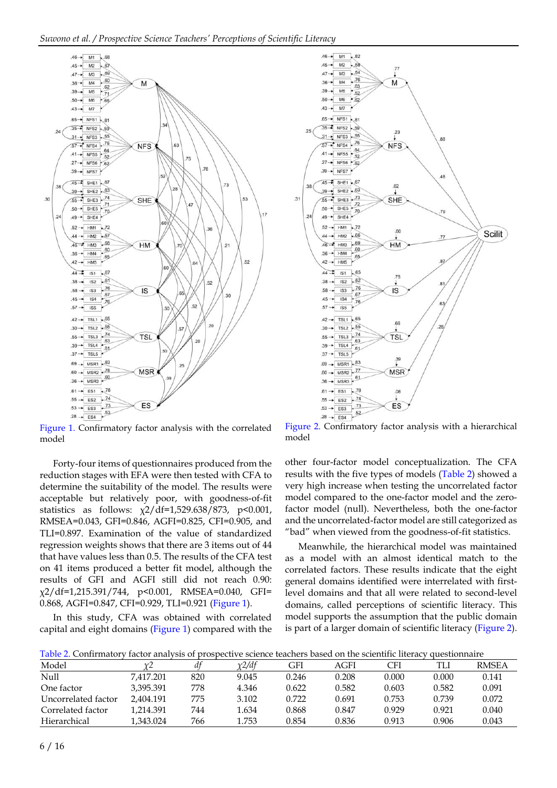

Figure 1. Confirmatory factor analysis with the correlated model

Forty-four items of questionnaires produced from the reduction stages with EFA were then tested with CFA to determine the suitability of the model. The results were acceptable but relatively poor, with goodness-of-fit statistics as follows:  $\chi$ 2/df=1,529.638/873, p<0.001, RMSEA=0.043, GFI=0.846, AGFI=0.825, CFI=0.905, and TLI=0.897. Examination of the value of standardized regression weights shows that there are 3 items out of 44 that have values less than 0.5. The results of the CFA test on 41 items produced a better fit model, although the results of GFI and AGFI still did not reach 0.90: χ2/df=1,215.391/744, p<0.001, RMSEA=0.040, GFI= 0.868, AGFI=0.847, CFI=0.929, TLI=0.921 (Figure 1).

In this study, CFA was obtained with correlated capital and eight domains (Figure 1) compared with the



model

other four-factor model conceptualization. The CFA results with the five types of models (Table 2) showed a very high increase when testing the uncorrelated factor model compared to the one-factor model and the zerofactor model (null). Nevertheless, both the one-factor and the uncorrelated-factor model are still categorized as "bad" when viewed from the goodness-of-fit statistics.

Meanwhile, the hierarchical model was maintained as a model with an almost identical match to the correlated factors. These results indicate that the eight general domains identified were interrelated with firstlevel domains and that all were related to second-level domains, called perceptions of scientific literacy. This model supports the assumption that the public domain is part of a larger domain of scientific literacy (Figure 2).

Table 2. Confirmatory factor analysis of prospective science teachers based on the scientific literacy questionnaire

| Model               | γ2        | $d^f$ | $\chi$ 2/df | GFI   | AGFI  | CFI   | TLI   | <b>RMSEA</b> |
|---------------------|-----------|-------|-------------|-------|-------|-------|-------|--------------|
| Null                | 7.417.201 | 820   | 9.045       | 0.246 | 0.208 | 0.000 | 0.000 | 0.141        |
| One factor          | 3.395.391 | 778   | 4.346       | 0.622 | 0.582 | 0.603 | 0.582 | 0.091        |
| Uncorrelated factor | 2.404.191 | 775   | 3.102       | 0.722 | 0.691 | 0.753 | 0.739 | 0.072        |
| Correlated factor   | 1,214.391 | 744   | 1.634       | 0.868 | 0.847 | 0.929 | 0.921 | 0.040        |
| Hierarchical        | 1.343.024 | 766   | 1.753       | 0.854 | 0.836 | 0.913 | 0.906 | 0.043        |
|                     |           |       |             |       |       |       |       |              |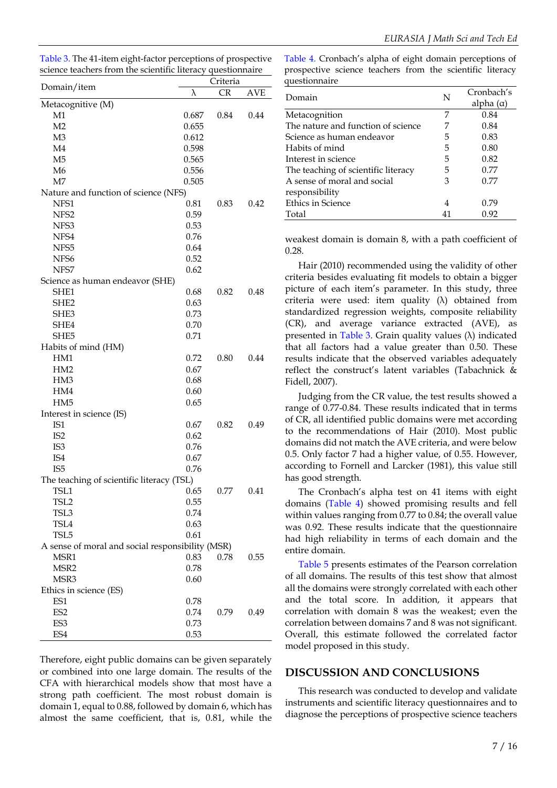Table 3. The 41-item eight-factor perceptions of prospective science teachers from the scientific literacy questionnaire

| Domain/item                                      | Criteria |           |            |  |  |
|--------------------------------------------------|----------|-----------|------------|--|--|
|                                                  | λ        | <b>CR</b> | <b>AVE</b> |  |  |
| Metacognitive (M)                                |          |           |            |  |  |
| M1                                               | 0.687    | 0.84      | 0.44       |  |  |
| M <sub>2</sub>                                   | 0.655    |           |            |  |  |
| M <sub>3</sub>                                   | 0.612    |           |            |  |  |
| M <sub>4</sub>                                   | 0.598    |           |            |  |  |
| M <sub>5</sub>                                   | 0.565    |           |            |  |  |
| M6                                               | 0.556    |           |            |  |  |
| M <sub>7</sub>                                   | 0.505    |           |            |  |  |
| Nature and function of science (NFS)             |          |           |            |  |  |
| NFS1                                             | 0.81     | 0.83      | 0.42       |  |  |
| NFS <sub>2</sub>                                 | 0.59     |           |            |  |  |
| NFS3                                             | 0.53     |           |            |  |  |
| NFS4                                             | 0.76     |           |            |  |  |
| NFS5                                             | 0.64     |           |            |  |  |
| NFS <sub>6</sub>                                 | 0.52     |           |            |  |  |
| NFS7                                             | 0.62     |           |            |  |  |
|                                                  |          |           |            |  |  |
| Science as human endeavor (SHE)                  | 0.68     | 0.82      |            |  |  |
| SHE1                                             |          |           | 0.48       |  |  |
| SHE <sub>2</sub>                                 | 0.63     |           |            |  |  |
| SHE3                                             | 0.73     |           |            |  |  |
| SHE4                                             | 0.70     |           |            |  |  |
| SHE5                                             | 0.71     |           |            |  |  |
| Habits of mind (HM)                              |          |           |            |  |  |
| HM1                                              | 0.72     | 0.80      | 0.44       |  |  |
| HM2                                              | 0.67     |           |            |  |  |
| HM3                                              | 0.68     |           |            |  |  |
| HM4                                              | 0.60     |           |            |  |  |
| HM <sub>5</sub>                                  | 0.65     |           |            |  |  |
| Interest in science (IS)                         |          |           |            |  |  |
| IS <sub>1</sub>                                  | 0.67     | 0.82      | 0.49       |  |  |
| IS <sub>2</sub>                                  | 0.62     |           |            |  |  |
| IS <sub>3</sub>                                  | 0.76     |           |            |  |  |
| IS4                                              | 0.67     |           |            |  |  |
| IS <sub>5</sub>                                  | 0.76     |           |            |  |  |
| The teaching of scientific literacy (TSL)        |          |           |            |  |  |
| TSL1                                             | 0.65     | 0.77      | 0.41       |  |  |
| TSL <sub>2</sub>                                 | 0.55     |           |            |  |  |
| TSL3                                             | 0.74     |           |            |  |  |
| TSL4                                             | 0.63     |           |            |  |  |
| TSL5                                             | 0.61     |           |            |  |  |
| A sense of moral and social responsibility (MSR) |          |           |            |  |  |
| MSR1                                             | 0.83     | 0.78      | 0.55       |  |  |
| MSR <sub>2</sub>                                 | 0.78     |           |            |  |  |
| MSR3                                             | 0.60     |           |            |  |  |
| Ethics in science (ES)                           |          |           |            |  |  |
| ES1                                              | 0.78     |           |            |  |  |
| ES <sub>2</sub>                                  | 0.74     | 0.79      | 0.49       |  |  |
| ES3                                              | 0.73     |           |            |  |  |
| ES4                                              | 0.53     |           |            |  |  |
|                                                  |          |           |            |  |  |

Therefore, eight public domains can be given separately or combined into one large domain. The results of the CFA with hierarchical models show that most have a strong path coefficient. The most robust domain is domain 1, equal to 0.88, followed by domain 6, which has almost the same coefficient, that is, 0.81, while the

Table 4. Cronbach's alpha of eight domain perceptions of prospective science teachers from the scientific literacy questionnaire Cronbach's

| Domain                              | Ν  | Cronbach's       |  |  |
|-------------------------------------|----|------------------|--|--|
|                                     |    | alpha $(\alpha)$ |  |  |
| Metacognition                       | 7  | 0.84             |  |  |
| The nature and function of science  | 7  | 0.84             |  |  |
| Science as human endeavor           | 5  | 0.83             |  |  |
| Habits of mind                      | 5  | 0.80             |  |  |
| Interest in science                 | 5  | 0.82             |  |  |
| The teaching of scientific literacy | 5  | 0.77             |  |  |
| A sense of moral and social         | 3  | 0.77             |  |  |
| responsibility                      |    |                  |  |  |
| Ethics in Science                   | 4  | 0.79             |  |  |
| Total                               | 41 | 0.92             |  |  |

weakest domain is domain 8, with a path coefficient of 0.28.

Hair (2010) recommended using the validity of other criteria besides evaluating fit models to obtain a bigger picture of each item's parameter. In this study, three criteria were used: item quality  $(\lambda)$  obtained from standardized regression weights, composite reliability (CR), and average variance extracted (AVE), as presented in Table 3. Grain quality values (λ) indicated that all factors had a value greater than 0.50. These results indicate that the observed variables adequately reflect the construct's latent variables (Tabachnick & Fidell, 2007).

Judging from the CR value, the test results showed a range of 0.77-0.84. These results indicated that in terms of CR, all identified public domains were met according to the recommendations of Hair (2010). Most public domains did not match the AVE criteria, and were below 0.5. Only factor 7 had a higher value, of 0.55. However, according to Fornell and Larcker (1981), this value still has good strength.

The Cronbach's alpha test on 41 items with eight domains (Table 4) showed promising results and fell within values ranging from 0.77 to 0.84; the overall value was 0.92. These results indicate that the questionnaire had high reliability in terms of each domain and the entire domain.

Table 5 presents estimates of the Pearson correlation of all domains. The results of this test show that almost all the domains were strongly correlated with each other and the total score. In addition, it appears that correlation with domain 8 was the weakest; even the correlation between domains 7 and 8 was not significant. Overall, this estimate followed the correlated factor model proposed in this study.

#### **DISCUSSION AND CONCLUSIONS**

This research was conducted to develop and validate instruments and scientific literacy questionnaires and to diagnose the perceptions of prospective science teachers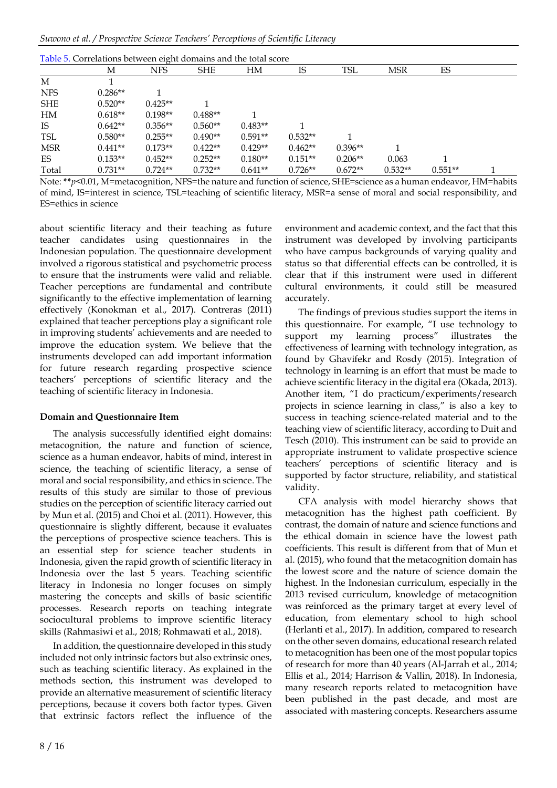*Suwono et al. / Prospective Science Teachers' Perceptions of Scientific Literacy*

|            | М         | <b>NFS</b> | <b>SHE</b> | HM        | IS        | TSL       | <b>MSR</b> | ES        |  |
|------------|-----------|------------|------------|-----------|-----------|-----------|------------|-----------|--|
| M          |           |            |            |           |           |           |            |           |  |
| <b>NFS</b> | $0.286**$ |            |            |           |           |           |            |           |  |
| <b>SHE</b> | $0.520**$ | $0.425**$  |            |           |           |           |            |           |  |
| HM         | $0.618**$ | $0.198**$  | $0.488**$  |           |           |           |            |           |  |
| IS         | $0.642**$ | $0.356**$  | $0.560**$  | $0.483**$ |           |           |            |           |  |
| <b>TSL</b> | $0.580**$ | $0.255**$  | $0.490**$  | $0.591**$ | $0.532**$ |           |            |           |  |
| MSR        | $0.441**$ | $0.173**$  | $0.422**$  | $0.429**$ | $0.462**$ | $0.396**$ |            |           |  |
| ES         | $0.153**$ | $0.452**$  | $0.252**$  | $0.180**$ | $0.151**$ | $0.206**$ | 0.063      |           |  |
| Total      | $0.731**$ | $0.724**$  | $0.732**$  | $0.641**$ | $0.726**$ | $0.672**$ | $0.532**$  | $0.551**$ |  |

Note: **\*\****p*<0.01, M=metacognition, NFS=the nature and function of science, SHE=science as a human endeavor, HM=habits of mind, IS=interest in science, TSL=teaching of scientific literacy, MSR=a sense of moral and social responsibility, and ES=ethics in science

about scientific literacy and their teaching as future teacher candidates using questionnaires in the Indonesian population. The questionnaire development involved a rigorous statistical and psychometric process to ensure that the instruments were valid and reliable. Teacher perceptions are fundamental and contribute significantly to the effective implementation of learning effectively (Konokman et al., 2017). Contreras (2011) explained that teacher perceptions play a significant role in improving students' achievements and are needed to improve the education system. We believe that the instruments developed can add important information for future research regarding prospective science teachers' perceptions of scientific literacy and the teaching of scientific literacy in Indonesia.

#### **Domain and Questionnaire Item**

The analysis successfully identified eight domains: metacognition, the nature and function of science, science as a human endeavor, habits of mind, interest in science, the teaching of scientific literacy, a sense of moral and social responsibility, and ethics in science. The results of this study are similar to those of previous studies on the perception of scientific literacy carried out by Mun et al. (2015) and Choi et al. (2011). However, this questionnaire is slightly different, because it evaluates the perceptions of prospective science teachers. This is an essential step for science teacher students in Indonesia, given the rapid growth of scientific literacy in Indonesia over the last 5 years. Teaching scientific literacy in Indonesia no longer focuses on simply mastering the concepts and skills of basic scientific processes. Research reports on teaching integrate sociocultural problems to improve scientific literacy skills (Rahmasiwi et al., 2018; Rohmawati et al., 2018).

In addition, the questionnaire developed in this study included not only intrinsic factors but also extrinsic ones, such as teaching scientific literacy. As explained in the methods section, this instrument was developed to provide an alternative measurement of scientific literacy perceptions, because it covers both factor types. Given that extrinsic factors reflect the influence of the

environment and academic context, and the fact that this instrument was developed by involving participants who have campus backgrounds of varying quality and status so that differential effects can be controlled, it is clear that if this instrument were used in different cultural environments, it could still be measured accurately.

The findings of previous studies support the items in this questionnaire. For example, "I use technology to support my learning process" illustrates the effectiveness of learning with technology integration, as found by Ghavifekr and Rosdy (2015). Integration of technology in learning is an effort that must be made to achieve scientific literacy in the digital era (Okada, 2013). Another item, "I do practicum/experiments/research projects in science learning in class," is also a key to success in teaching science-related material and to the teaching view of scientific literacy, according to Duit and Tesch (2010). This instrument can be said to provide an appropriate instrument to validate prospective science teachers' perceptions of scientific literacy and is supported by factor structure, reliability, and statistical validity.

CFA analysis with model hierarchy shows that metacognition has the highest path coefficient. By contrast, the domain of nature and science functions and the ethical domain in science have the lowest path coefficients. This result is different from that of Mun et al. (2015), who found that the metacognition domain has the lowest score and the nature of science domain the highest. In the Indonesian curriculum, especially in the 2013 revised curriculum, knowledge of metacognition was reinforced as the primary target at every level of education, from elementary school to high school (Herlanti et al., 2017). In addition, compared to research on the other seven domains, educational research related to metacognition has been one of the most popular topics of research for more than 40 years (Al-Jarrah et al., 2014; Ellis et al., 2014; Harrison & Vallin, 2018). In Indonesia, many research reports related to metacognition have been published in the past decade, and most are associated with mastering concepts. Researchers assume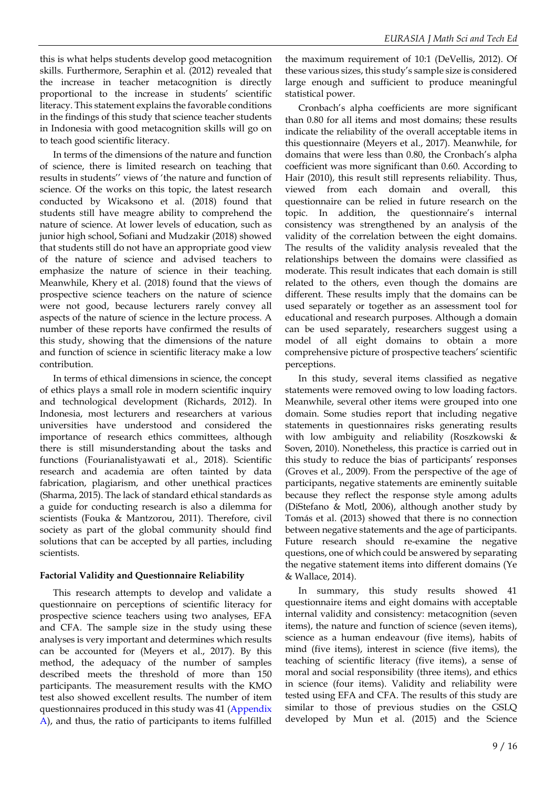this is what helps students develop good metacognition skills. Furthermore, Seraphin et al. (2012) revealed that the increase in teacher metacognition is directly proportional to the increase in students' scientific literacy. This statement explains the favorable conditions in the findings of this study that science teacher students in Indonesia with good metacognition skills will go on to teach good scientific literacy.

In terms of the dimensions of the nature and function of science, there is limited research on teaching that results in students'' views of 'the nature and function of science. Of the works on this topic, the latest research conducted by Wicaksono et al. (2018) found that students still have meagre ability to comprehend the nature of science. At lower levels of education, such as junior high school, Sofiani and Mudzakir (2018) showed that students still do not have an appropriate good view of the nature of science and advised teachers to emphasize the nature of science in their teaching. Meanwhile, Khery et al. (2018) found that the views of prospective science teachers on the nature of science were not good, because lecturers rarely convey all aspects of the nature of science in the lecture process. A number of these reports have confirmed the results of this study, showing that the dimensions of the nature and function of science in scientific literacy make a low contribution.

In terms of ethical dimensions in science, the concept of ethics plays a small role in modern scientific inquiry and technological development (Richards, 2012). In Indonesia, most lecturers and researchers at various universities have understood and considered the importance of research ethics committees, although there is still misunderstanding about the tasks and functions (Fourianalistyawati et al., 2018). Scientific research and academia are often tainted by data fabrication, plagiarism, and other unethical practices (Sharma, 2015). The lack of standard ethical standards as a guide for conducting research is also a dilemma for scientists (Fouka & Mantzorou, 2011). Therefore, civil society as part of the global community should find solutions that can be accepted by all parties, including scientists.

#### **Factorial Validity and Questionnaire Reliability**

This research attempts to develop and validate a questionnaire on perceptions of scientific literacy for prospective science teachers using two analyses, EFA and CFA. The sample size in the study using these analyses is very important and determines which results can be accounted for (Meyers et al., 2017). By this method, the adequacy of the number of samples described meets the threshold of more than 150 participants. The measurement results with the KMO test also showed excellent results. The number of item questionnaires produced in this study was 41 (Appendix A), and thus, the ratio of participants to items fulfilled the maximum requirement of 10:1 (DeVellis, 2012). Of these various sizes, this study's sample size is considered large enough and sufficient to produce meaningful statistical power.

Cronbach's alpha coefficients are more significant than 0.80 for all items and most domains; these results indicate the reliability of the overall acceptable items in this questionnaire (Meyers et al., 2017). Meanwhile, for domains that were less than 0.80, the Cronbach's alpha coefficient was more significant than 0.60. According to Hair (2010), this result still represents reliability. Thus, viewed from each domain and overall, this questionnaire can be relied in future research on the topic. In addition, the questionnaire's internal consistency was strengthened by an analysis of the validity of the correlation between the eight domains. The results of the validity analysis revealed that the relationships between the domains were classified as moderate. This result indicates that each domain is still related to the others, even though the domains are different. These results imply that the domains can be used separately or together as an assessment tool for educational and research purposes. Although a domain can be used separately, researchers suggest using a model of all eight domains to obtain a more comprehensive picture of prospective teachers' scientific perceptions.

In this study, several items classified as negative statements were removed owing to low loading factors. Meanwhile, several other items were grouped into one domain. Some studies report that including negative statements in questionnaires risks generating results with low ambiguity and reliability (Roszkowski & Soven, 2010). Nonetheless, this practice is carried out in this study to reduce the bias of participants' responses (Groves et al., 2009). From the perspective of the age of participants, negative statements are eminently suitable because they reflect the response style among adults (DiStefano & Motl, 2006), although another study by Tomás et al. (2013) showed that there is no connection between negative statements and the age of participants. Future research should re-examine the negative questions, one of which could be answered by separating the negative statement items into different domains (Ye & Wallace, 2014).

In summary, this study results showed 41 questionnaire items and eight domains with acceptable internal validity and consistency: metacognition (seven items), the nature and function of science (seven items), science as a human endeavour (five items), habits of mind (five items), interest in science (five items), the teaching of scientific literacy (five items), a sense of moral and social responsibility (three items), and ethics in science (four items). Validity and reliability were tested using EFA and CFA. The results of this study are similar to those of previous studies on the GSLQ developed by Mun et al. (2015) and the Science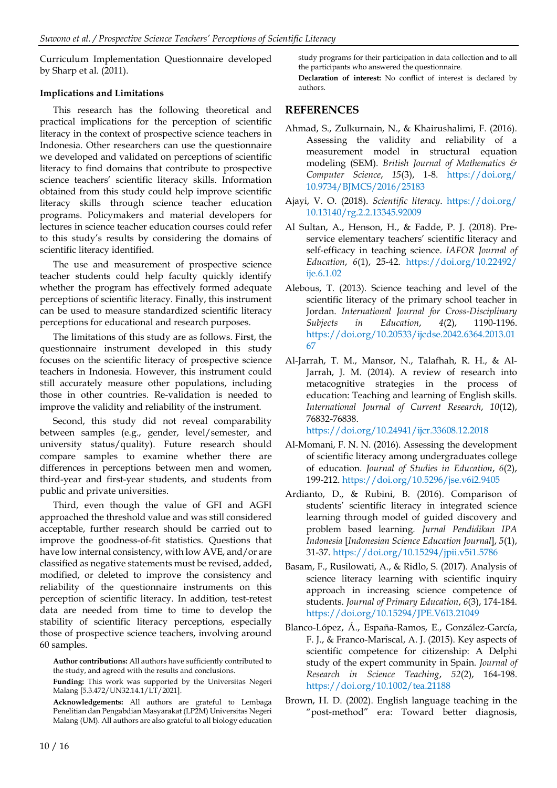Curriculum Implementation Questionnaire developed by Sharp et al. (2011).

#### **Implications and Limitations**

This research has the following theoretical and practical implications for the perception of scientific literacy in the context of prospective science teachers in Indonesia. Other researchers can use the questionnaire we developed and validated on perceptions of scientific literacy to find domains that contribute to prospective science teachers' scientific literacy skills. Information obtained from this study could help improve scientific literacy skills through science teacher education programs. Policymakers and material developers for lectures in science teacher education courses could refer to this study's results by considering the domains of scientific literacy identified.

The use and measurement of prospective science teacher students could help faculty quickly identify whether the program has effectively formed adequate perceptions of scientific literacy. Finally, this instrument can be used to measure standardized scientific literacy perceptions for educational and research purposes.

The limitations of this study are as follows. First, the questionnaire instrument developed in this study focuses on the scientific literacy of prospective science teachers in Indonesia. However, this instrument could still accurately measure other populations, including those in other countries. Re-validation is needed to improve the validity and reliability of the instrument.

Second, this study did not reveal comparability between samples (e.g., gender, level/semester, and university status/quality). Future research should compare samples to examine whether there are differences in perceptions between men and women, third-year and first-year students, and students from public and private universities.

Third, even though the value of GFI and AGFI approached the threshold value and was still considered acceptable, further research should be carried out to improve the goodness-of-fit statistics. Questions that have low internal consistency, with low AVE, and/or are classified as negative statements must be revised, added, modified, or deleted to improve the consistency and reliability of the questionnaire instruments on this perception of scientific literacy. In addition, test-retest data are needed from time to time to develop the stability of scientific literacy perceptions, especially those of prospective science teachers, involving around 60 samples.

**Author contributions:** All authors have sufficiently contributed to the study, and agreed with the results and conclusions.

**Funding:** This work was supported by the Universitas Negeri Malang [5.3.472/UN32.14.1/LT/2021].

**Acknowledgements:** All authors are grateful to Lembaga Penelitian dan Pengabdian Masyarakat (LP2M) Universitas Negeri Malang (UM). All authors are also grateful to all biology education study programs for their participation in data collection and to all the participants who answered the questionnaire.

**Declaration of interest:** No conflict of interest is declared by authors.

## **REFERENCES**

- Ahmad, S., Zulkurnain, N., & Khairushalimi, F. (2016). Assessing the validity and reliability of a measurement model in structural equation modeling (SEM). *British Journal of Mathematics & Computer Science*, *15*(3), 1-8. [https://doi.org/](https://doi.org/10.9734/BJMCS/2016/25183) [10.9734/BJMCS/2016/25183](https://doi.org/10.9734/BJMCS/2016/25183)
- Ajayi, V. O. (2018). *Scientific literacy*. [https://doi.org/](https://doi.org/10.13140/rg.2.2.13345.92009) [10.13140/rg.2.2.13345.92009](https://doi.org/10.13140/rg.2.2.13345.92009)
- Al Sultan, A., Henson, H., & Fadde, P. J. (2018). Preservice elementary teachers' scientific literacy and self-efficacy in teaching science. *IAFOR Journal of Education*, *6*(1), 25-42. [https://doi.org/10.22492/](https://doi.org/10.22492/ije.6.1.02) [ije.6.1.02](https://doi.org/10.22492/ije.6.1.02)
- Alebous, T. (2013). Science teaching and level of the scientific literacy of the primary school teacher in Jordan. *International Journal for Cross-Disciplinary Subjects in Education*, *4*(2), 1190-1196. [https://doi.org/10.20533/ijcdse.2042.6364.2013.01](https://doi.org/10.20533/ijcdse.2042.6364.2013.0167) [67](https://doi.org/10.20533/ijcdse.2042.6364.2013.0167)
- Al-Jarrah, T. M., Mansor, N., Talafhah, R. H., & Al-Jarrah, J. M. (2014). A review of research into metacognitive strategies in the process of education: Teaching and learning of English skills. *International Journal of Current Research*, *10*(12), 76832-76838.

<https://doi.org/10.24941/ijcr.33608.12.2018>

- Al-Momani, F. N. N. (2016). Assessing the development of scientific literacy among undergraduates college of education. *Journal of Studies in Education*, *6*(2), 199-212. <https://doi.org/10.5296/jse.v6i2.9405>
- Ardianto, D., & Rubini, B. (2016). Comparison of students' scientific literacy in integrated science learning through model of guided discovery and problem based learning. *Jurnal Pendidikan IPA Indonesia* [*Indonesian Science Education Journal*], *5*(1), 31-37. <https://doi.org/10.15294/jpii.v5i1.5786>
- Basam, F., Rusilowati, A., & Ridlo, S. (2017). Analysis of science literacy learning with scientific inquiry approach in increasing science competence of students. *Journal of Primary Education*, *6*(3), 174-184. <https://doi.org/10.15294/JPE.V6I3.21049>
- Blanco-López, Á., España-Ramos, E., González-García, F. J., & Franco-Mariscal, A. J. (2015). Key aspects of scientific competence for citizenship: A Delphi study of the expert community in Spain. *Journal of Research in Science Teaching*, *52*(2), 164-198. <https://doi.org/10.1002/tea.21188>
- Brown, H. D. (2002). English language teaching in the "post-method" era: Toward better diagnosis,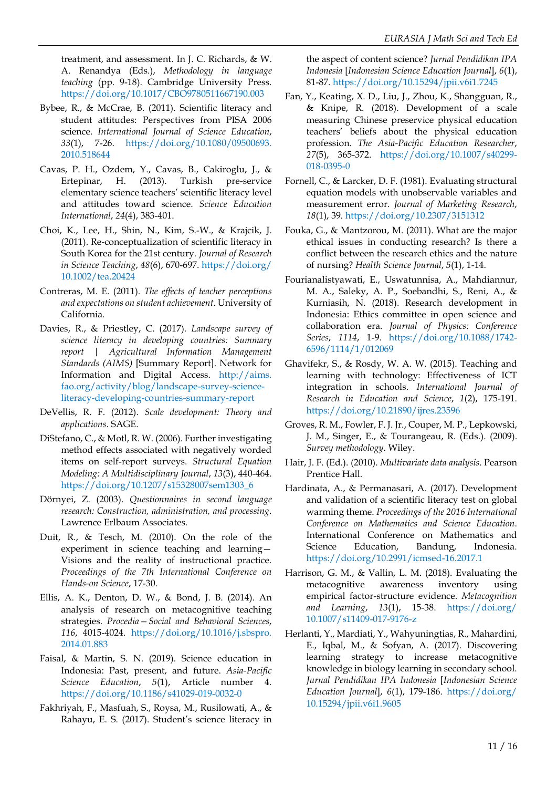treatment, and assessment. In J. C. Richards, & W. A. Renandya (Eds.), *Methodology in language teaching* (pp. 9-18). Cambridge University Press. <https://doi.org/10.1017/CBO9780511667190.003>

- Bybee, R., & McCrae, B. (2011). Scientific literacy and student attitudes: Perspectives from PISA 2006 science. *International Journal of Science Education*, *33*(1), 7-26. [https://doi.org/10.1080/09500693.](https://doi.org/10.1080/09500693.2010.518644) [2010.518644](https://doi.org/10.1080/09500693.2010.518644)
- Cavas, P. H., Ozdem, Y., Cavas, B., Cakiroglu, J., & Ertepinar, H. (2013). Turkish pre-service elementary science teachers' scientific literacy level and attitudes toward science. *Science Education International*, *24*(4), 383-401.
- Choi, K., Lee, H., Shin, N., Kim, S.-W., & Krajcik, J. (2011). Re-conceptualization of scientific literacy in South Korea for the 21st century. *Journal of Research in Science Teaching*, *48*(6), 670-697. [https://doi.org/](https://doi.org/10.1002/tea.20424) [10.1002/tea.20424](https://doi.org/10.1002/tea.20424)
- Contreras, M. E. (2011). *The effects of teacher perceptions and expectations on student achievement*. University of California.
- Davies, R., & Priestley, C. (2017). *Landscape survey of science literacy in developing countries: Summary report | Agricultural Information Management Standards (AIMS)* [Summary Report]. Network for Information and Digital Access. [http://aims.](http://aims.fao.org/activity/blog/landscape-survey-science-literacy-developing-countries-summary-report) [fao.org/activity/blog/landscape-survey-science](http://aims.fao.org/activity/blog/landscape-survey-science-literacy-developing-countries-summary-report)[literacy-developing-countries-summary-report](http://aims.fao.org/activity/blog/landscape-survey-science-literacy-developing-countries-summary-report)
- DeVellis, R. F. (2012). *Scale development: Theory and applications*. SAGE.
- DiStefano, C., & Motl, R. W. (2006). Further investigating method effects associated with negatively worded items on self-report surveys. *Structural Equation Modeling: A Multidisciplinary Journal*, *13*(3), 440-464. [https://doi.org/10.1207/s15328007sem1303\\_6](https://doi.org/10.1207/s15328007sem1303_6)
- Dörnyei, Z. (2003). *Questionnaires in second language research: Construction, administration, and processing*. Lawrence Erlbaum Associates.
- Duit, R., & Tesch, M. (2010). On the role of the experiment in science teaching and learning— Visions and the reality of instructional practice. *Proceedings of the 7th International Conference on Hands-on Science*, 17-30.
- Ellis, A. K., Denton, D. W., & Bond, J. B. (2014). An analysis of research on metacognitive teaching strategies. *Procedia—Social and Behavioral Sciences*, *116*, 4015-4024. [https://doi.org/10.1016/j.sbspro.](https://doi.org/10.1016/j.sbspro.2014.01.883) [2014.01.883](https://doi.org/10.1016/j.sbspro.2014.01.883)
- Faisal, & Martin, S. N. (2019). Science education in Indonesia: Past, present, and future. *Asia-Pacific Science Education, 5(1), Article number* <https://doi.org/10.1186/s41029-019-0032-0>
- Fakhriyah, F., Masfuah, S., Roysa, M., Rusilowati, A., & Rahayu, E. S. (2017). Student's science literacy in

the aspect of content science? *Jurnal Pendidikan IPA Indonesia* [*Indonesian Science Education Journal*], *6*(1), 81-87. <https://doi.org/10.15294/jpii.v6i1.7245>

- Fan, Y., Keating, X. D., Liu, J., Zhou, K., Shangguan, R., & Knipe, R. (2018). Development of a scale measuring Chinese preservice physical education teachers' beliefs about the physical education profession. *The Asia-Pacific Education Researcher*, *27*(5), 365-372. [https://doi.org/10.1007/s40299-](https://doi.org/10.1007/s40299-018-0395-0) [018-0395-0](https://doi.org/10.1007/s40299-018-0395-0)
- Fornell, C., & Larcker, D. F. (1981). Evaluating structural equation models with unobservable variables and measurement error. *Journal of Marketing Research*, *18*(1), 39. <https://doi.org/10.2307/3151312>
- Fouka, G., & Mantzorou, M. (2011). What are the major ethical issues in conducting research? Is there a conflict between the research ethics and the nature of nursing? *Health Science Journal*, *5*(1), 1-14.
- Fourianalistyawati, E., Uswatunnisa, A., Mahdiannur, M. A., Saleky, A. P., Soebandhi, S., Reni, A., & Kurniasih, N. (2018). Research development in Indonesia: Ethics committee in open science and collaboration era. *Journal of Physics: Conference Series*, *1114*, 1-9. [https://doi.org/10.1088/1742-](https://doi.org/10.1088/1742-6596/1114/1/012069) [6596/1114/1/012069](https://doi.org/10.1088/1742-6596/1114/1/012069)
- Ghavifekr, S., & Rosdy, W. A. W. (2015). Teaching and learning with technology: Effectiveness of ICT integration in schools. *International Journal of Research in Education and Science*, *1*(2), 175-191. <https://doi.org/10.21890/ijres.23596>
- Groves, R. M., Fowler, F. J. Jr., Couper, M. P., Lepkowski, J. M., Singer, E., & Tourangeau, R. (Eds.). (2009). *Survey methodology*. Wiley.
- Hair, J. F. (Ed.). (2010). *Multivariate data analysis*. Pearson Prentice Hall.
- Hardinata, A., & Permanasari, A. (2017). Development and validation of a scientific literacy test on global warming theme. *Proceedings of the 2016 International Conference on Mathematics and Science Education*. International Conference on Mathematics and Science Education, Bandung, Indonesia. <https://doi.org/10.2991/icmsed-16.2017.1>
- Harrison, G. M., & Vallin, L. M. (2018). Evaluating the metacognitive awareness inventory using empirical factor-structure evidence. *Metacognition and Learning*, *13*(1), 15-38. [https://doi.org/](https://doi.org/10.1007/s11409-017-9176-z) [10.1007/s11409-017-9176-z](https://doi.org/10.1007/s11409-017-9176-z)
- Herlanti, Y., Mardiati, Y., Wahyuningtias, R., Mahardini, E., Iqbal, M., & Sofyan, A. (2017). Discovering learning strategy to increase metacognitive knowledge in biology learning in secondary school. *Jurnal Pendidikan IPA Indonesia* [*Indonesian Science Education Journal*], *6*(1), 179-186. [https://doi.org/](https://doi.org/10.15294/jpii.v6i1.9605) [10.15294/jpii.v6i1.9605](https://doi.org/10.15294/jpii.v6i1.9605)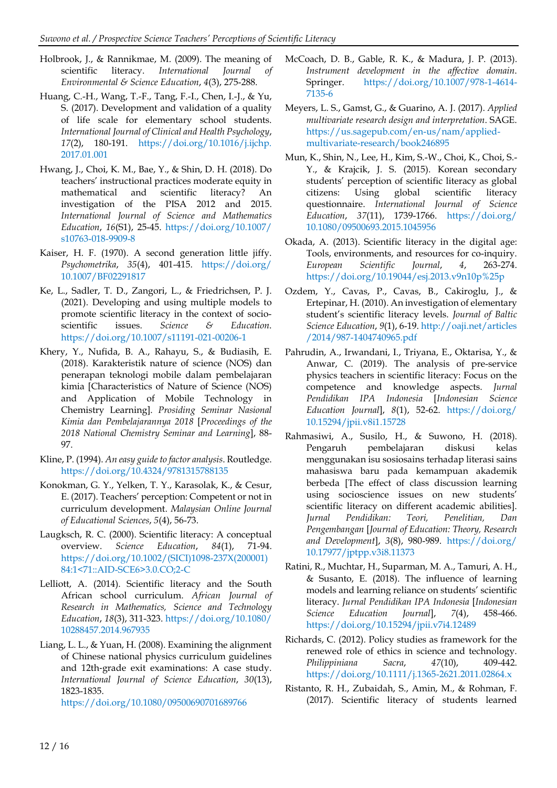- Holbrook, J., & Rannikmae, M. (2009). The meaning of scientific literacy. *International Journal Environmental & Science Education*, *4*(3), 275-288.
- Huang, C.-H., Wang, T.-F., Tang, F.-I., Chen, I.-J., & Yu, S. (2017). Development and validation of a quality of life scale for elementary school students. *International Journal of Clinical and Health Psychology*, *17*(2), 180-191. [https://doi.org/10.1016/j.ijchp.](https://doi.org/10.1016/j.ijchp.2017.01.001) [2017.01.001](https://doi.org/10.1016/j.ijchp.2017.01.001)
- Hwang, J., Choi, K. M., Bae, Y., & Shin, D. H. (2018). Do teachers' instructional practices moderate equity in mathematical and scientific literacy? An investigation of the PISA 2012 and 2015. *International Journal of Science and Mathematics Education*, *16*(S1), 25-45. [https://doi.org/10.1007/](https://doi.org/10.1007/s10763-018-9909-8) [s10763-018-9909-8](https://doi.org/10.1007/s10763-018-9909-8)
- Kaiser, H. F. (1970). A second generation little jiffy. *Psychometrika*, *35*(4), 401-415. [https://doi.org/](https://doi.org/10.1007/BF02291817) [10.1007/BF02291817](https://doi.org/10.1007/BF02291817)
- Ke, L., Sadler, T. D., Zangori, L., & Friedrichsen, P. J. (2021). Developing and using multiple models to promote scientific literacy in the context of socioscientific issues. *Science & Education*. <https://doi.org/10.1007/s11191-021-00206-1>
- Khery, Y., Nufida, B. A., Rahayu, S., & Budiasih, E. (2018). Karakteristik nature of science (NOS) dan penerapan teknologi mobile dalam pembelajaran kimia [Characteristics of Nature of Science (NOS) and Application of Mobile Technology in Chemistry Learning]. *Prosiding Seminar Nasional Kimia dan Pembelajarannya 2018* [*Proceedings of the 2018 National Chemistry Seminar and Learning*], 88- 97.
- Kline, P. (1994). *An easy guide to factor analysis*. Routledge. <https://doi.org/10.4324/9781315788135>
- Konokman, G. Y., Yelken, T. Y., Karasolak, K., & Cesur, E. (2017). Teachers' perception: Competent or not in curriculum development. *Malaysian Online Journal of Educational Sciences*, *5*(4), 56-73.
- Laugksch, R. C. (2000). Scientific literacy: A conceptual overview. *Science Education*, *84*(1), 71-94. [https://doi.org/10.1002/\(SICI\)1098-237X\(200001\)](https://doi.org/10.1002/(SICI)1098-237X(200001)84:1%3c71::AID-SCE6%3e3.0.CO;2-C) [84:1<71::AID-SCE6>3.0.CO;2-C](https://doi.org/10.1002/(SICI)1098-237X(200001)84:1%3c71::AID-SCE6%3e3.0.CO;2-C)
- Lelliott, A. (2014). Scientific literacy and the South African school curriculum. *African Journal of Research in Mathematics, Science and Technology Education*, *18*(3), 311-323. [https://doi.org/10.1080/](https://doi.org/10.1080/10288457.2014.967935) [10288457.2014.967935](https://doi.org/10.1080/10288457.2014.967935)
- Liang, L. L., & Yuan, H. (2008). Examining the alignment of Chinese national physics curriculum guidelines and 12th‐grade exit examinations: A case study. *International Journal of Science Education*, *30*(13), 1823-1835.

<https://doi.org/10.1080/09500690701689766>

- McCoach, D. B., Gable, R. K., & Madura, J. P. (2013). *Instrument development in the affective domain*. Springer. [https://doi.org/10.1007/978-1-4614-](https://doi.org/10.1007/978-1-4614-7135-6) [7135-6](https://doi.org/10.1007/978-1-4614-7135-6)
- Meyers, L. S., Gamst, G., & Guarino, A. J. (2017). *Applied multivariate research design and interpretation*. SAGE. [https://us.sagepub.com/en-us/nam/applied](https://us.sagepub.com/en-us/nam/applied-multivariate-research/book246895)[multivariate-research/book246895](https://us.sagepub.com/en-us/nam/applied-multivariate-research/book246895)
- Mun, K., Shin, N., Lee, H., Kim, S.-W., Choi, K., Choi, S.- Y., & Krajcik, J. S. (2015). Korean secondary students' perception of scientific literacy as global citizens: Using global scientific literacy questionnaire. *International Journal of Science Education*, *37*(11), 1739-1766. [https://doi.org/](https://doi.org/10.1080/09500693.2015.1045956) [10.1080/09500693.2015.1045956](https://doi.org/10.1080/09500693.2015.1045956)
- Okada, A. (2013). Scientific literacy in the digital age: Tools, environments, and resources for co-inquiry. *European Scientific Journal*, *4*, 263-274. <https://doi.org/10.19044/esj.2013.v9n10p%25p>
- Ozdem, Y., Cavas, P., Cavas, B., Cakiroglu, J., & Ertepinar, H. (2010). An investigation of elementary student's scientific literacy levels. *Journal of Baltic Science Education*, *9*(1), 6-19. [http://oaji.net/articles](http://oaji.net/articles/2014/987-1404740965.pdf) [/2014/987-1404740965.pdf](http://oaji.net/articles/2014/987-1404740965.pdf)
- Pahrudin, A., Irwandani, I., Triyana, E., Oktarisa, Y., & Anwar, C. (2019). The analysis of pre-service physics teachers in scientific literacy: Focus on the competence and knowledge aspects. *Jurnal Pendidikan IPA Indonesia* [*Indonesian Science Education Journal*], *8*(1), 52-62. [https://doi.org/](https://doi.org/10.15294/jpii.v8i1.15728) [10.15294/jpii.v8i1.15728](https://doi.org/10.15294/jpii.v8i1.15728)
- Rahmasiwi, A., Susilo, H., & Suwono, H. (2018). Pengaruh pembelajaran diskusi kelas menggunakan isu sosiosains terhadap literasi sains mahasiswa baru pada kemampuan akademik berbeda [The effect of class discussion learning using socioscience issues on new students' scientific literacy on different academic abilities]. *Jurnal Pendidikan: Teori, Penelitian, Dan Pengembangan* [*Journal of Education: Theory, Research and Development*], *3*(8), 980-989. [https://doi.org/](https://doi.org/10.17977/jptpp.v3i8.11373) [10.17977/jptpp.v3i8.11373](https://doi.org/10.17977/jptpp.v3i8.11373)
- Ratini, R., Muchtar, H., Suparman, M. A., Tamuri, A. H., & Susanto, E. (2018). The influence of learning models and learning reliance on students' scientific literacy. *Jurnal Pendidikan IPA Indonesia* [*Indonesian Science Education Journal*], *7*(4), 458-466. <https://doi.org/10.15294/jpii.v7i4.12489>
- Richards, C. (2012). Policy studies as framework for the renewed role of ethics in science and technology. *Philippiniana Sacra*, *47*(10), 409-442. <https://doi.org/10.1111/j.1365-2621.2011.02864.x>
- Ristanto, R. H., Zubaidah, S., Amin, M., & Rohman, F. (2017). Scientific literacy of students learned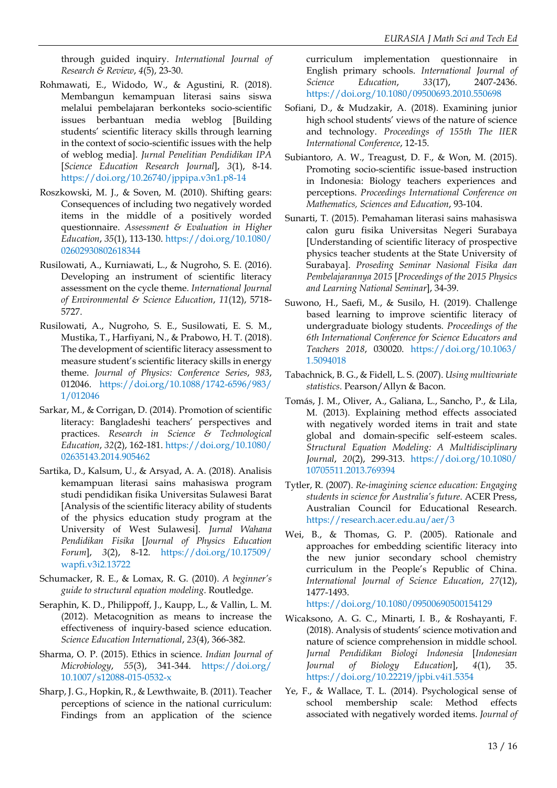through guided inquiry. *International Journal of Research & Review*, *4*(5), 23-30.

- Rohmawati, E., Widodo, W., & Agustini, R. (2018). Membangun kemampuan literasi sains siswa melalui pembelajaran berkonteks socio-scientific issues berbantuan media weblog [Building students' scientific literacy skills through learning in the context of socio-scientific issues with the help of weblog media]. *Jurnal Penelitian Pendidikan IPA* [*Science Education Research Journal*], *3*(1), 8-14. <https://doi.org/10.26740/jppipa.v3n1.p8-14>
- Roszkowski, M. J., & Soven, M. (2010). Shifting gears: Consequences of including two negatively worded items in the middle of a positively worded questionnaire. *Assessment & Evaluation in Higher Education*, *35*(1), 113-130. [https://doi.org/10.1080/](https://doi.org/10.1080/02602930802618344) [02602930802618344](https://doi.org/10.1080/02602930802618344)
- Rusilowati, A., Kurniawati, L., & Nugroho, S. E. (2016). Developing an instrument of scientific literacy assessment on the cycle theme. *International Journal of Environmental & Science Education*, *11*(12), 5718- 5727.
- Rusilowati, A., Nugroho, S. E., Susilowati, E. S. M., Mustika, T., Harfiyani, N., & Prabowo, H. T. (2018). The development of scientific literacy assessment to measure student's scientific literacy skills in energy theme. *Journal of Physics: Conference Series*, *983*, 012046. [https://doi.org/10.1088/1742-6596/983/](https://doi.org/10.1088/1742-6596/983/1/012046) [1/012046](https://doi.org/10.1088/1742-6596/983/1/012046)
- Sarkar, M., & Corrigan, D. (2014). Promotion of scientific literacy: Bangladeshi teachers' perspectives and practices. *Research in Science & Technological Education*, *32*(2), 162-181. [https://doi.org/10.1080/](https://doi.org/10.1080/02635143.2014.905462) [02635143.2014.905462](https://doi.org/10.1080/02635143.2014.905462)
- Sartika, D., Kalsum, U., & Arsyad, A. A. (2018). Analisis kemampuan literasi sains mahasiswa program studi pendidikan fisika Universitas Sulawesi Barat [Analysis of the scientific literacy ability of students of the physics education study program at the University of West Sulawesi]. *Jurnal Wahana Pendidikan Fisika* [*Journal of Physics Education Forum*], *3*(2), 8-12. [https://doi.org/10.17509/](https://doi.org/10.17509/wapfi.v3i2.13722) [wapfi.v3i2.13722](https://doi.org/10.17509/wapfi.v3i2.13722)
- Schumacker, R. E., & Lomax, R. G. (2010). *A beginner's guide to structural equation modeling*. Routledge.
- Seraphin, K. D., Philippoff, J., Kaupp, L., & Vallin, L. M. (2012). Metacognition as means to increase the effectiveness of inquiry-based science education. *Science Education International*, *23*(4), 366-382.
- Sharma, O. P. (2015). Ethics in science. *Indian Journal of Microbiology*, *55*(3), 341-344. [https://doi.org/](https://doi.org/10.1007/s12088-015-0532-x) [10.1007/s12088-015-0532-x](https://doi.org/10.1007/s12088-015-0532-x)
- Sharp, J. G., Hopkin, R., & Lewthwaite, B. (2011). Teacher perceptions of science in the national curriculum: Findings from an application of the science

curriculum implementation questionnaire in English primary schools. *International Journal of Science Education*, *33*(17), 2407-2436. <https://doi.org/10.1080/09500693.2010.550698>

- Sofiani, D., & Mudzakir, A. (2018). Examining junior high school students' views of the nature of science and technology. *Proceedings of 155th The IIER International Conference*, 12-15.
- Subiantoro, A. W., Treagust, D. F., & Won, M. (2015). Promoting socio-scientific issue-based instruction in Indonesia: Biology teachers experiences and perceptions. *Proceedings International Conference on Mathematics, Sciences and Education*, 93-104.
- Sunarti, T. (2015). Pemahaman literasi sains mahasiswa calon guru fisika Universitas Negeri Surabaya [Understanding of scientific literacy of prospective physics teacher students at the State University of Surabaya]. *Proseding Seminar Nasional Fisika dan Pembelajarannya 2015* [*Proceedings of the 2015 Physics and Learning National Seminar*], 34-39.
- Suwono, H., Saefi, M., & Susilo, H. (2019). Challenge based learning to improve scientific literacy of undergraduate biology students. *Proceedings of the 6th International Conference for Science Educators and Teachers 2018*, 030020. [https://doi.org/10.1063/](https://doi.org/10.1063/1.5094018) [1.5094018](https://doi.org/10.1063/1.5094018)
- Tabachnick, B. G., & Fidell, L. S. (2007). *Using multivariate statistics*. Pearson/Allyn & Bacon.
- Tomás, J. M., Oliver, A., Galiana, L., Sancho, P., & Lila, M. (2013). Explaining method effects associated with negatively worded items in trait and state global and domain-specific self-esteem scales. *Structural Equation Modeling: A Multidisciplinary Journal*, *20*(2), 299-313. [https://doi.org/10.1080/](https://doi.org/10.1080/10705511.2013.769394) [10705511.2013.769394](https://doi.org/10.1080/10705511.2013.769394)
- Tytler, R. (2007). *Re-imagining science education: Engaging students in science for Australia's future*. ACER Press, Australian Council for Educational Research. <https://research.acer.edu.au/aer/3>
- Wei, B., & Thomas, G. P. (2005). Rationale and approaches for embedding scientific literacy into the new junior secondary school chemistry curriculum in the People's Republic of China. *International Journal of Science Education*, *27*(12), 1477-1493.

<https://doi.org/10.1080/09500690500154129>

- Wicaksono, A. G. C., Minarti, I. B., & Roshayanti, F. (2018). Analysis of students' science motivation and nature of science comprehension in middle school. *Jurnal Pendidikan Biologi Indonesia* [*Indonesian Journal of Biology Education*], *4*(1), 35. <https://doi.org/10.22219/jpbi.v4i1.5354>
- Ye, F., & Wallace, T. L. (2014). Psychological sense of school membership scale: Method effects associated with negatively worded items. *Journal of*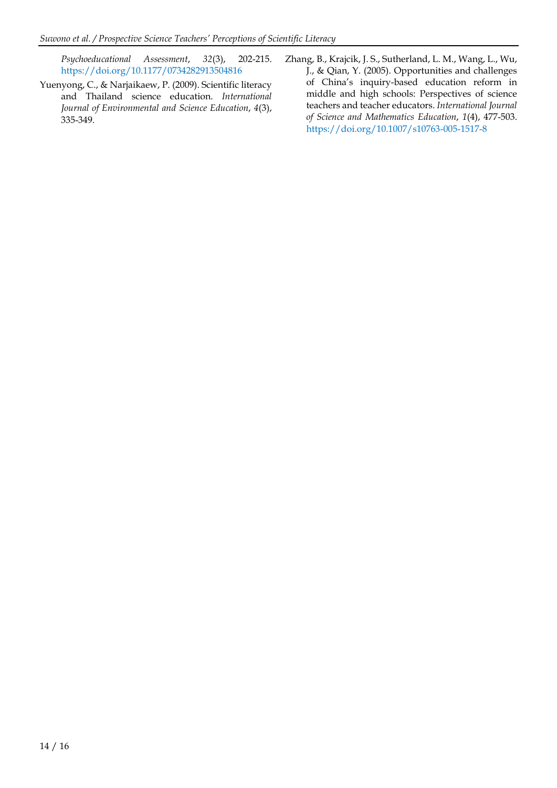*Psychoeducational Assessment*, *32*(3), 202-215. <https://doi.org/10.1177/0734282913504816>

- Yuenyong, C., & Narjaikaew, P. (2009). Scientific literacy and Thailand science education. *International Journal of Environmental and Science Education*, *4*(3), 335-349.
- Zhang, B., Krajcik, J. S., Sutherland, L. M., Wang, L., Wu, J., & Qian, Y. (2005). Opportunities and challenges of China's inquiry-based education reform in middle and high schools: Perspectives of science teachers and teacher educators. *International Journal of Science and Mathematics Education*, *1*(4), 477-503. <https://doi.org/10.1007/s10763-005-1517-8>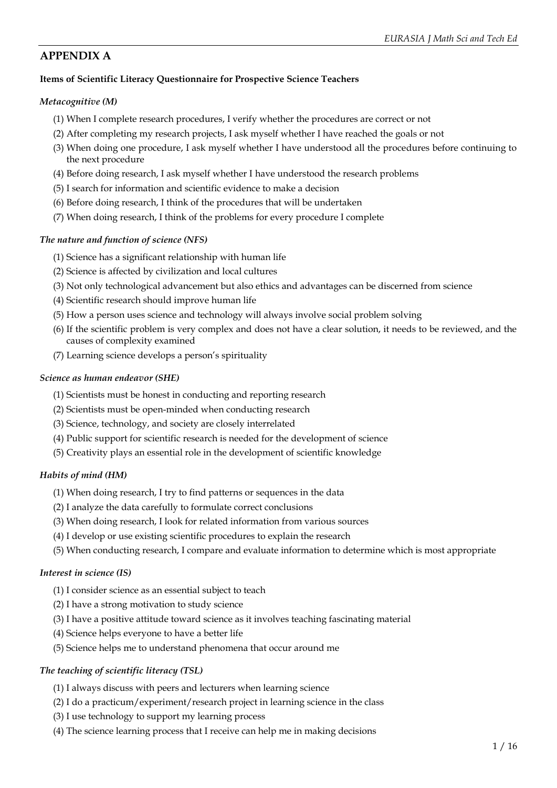## **APPENDIX A**

### **Items of Scientific Literacy Questionnaire for Prospective Science Teachers**

#### *Metacognitive (M)*

- (1) When I complete research procedures, I verify whether the procedures are correct or not
- (2) After completing my research projects, I ask myself whether I have reached the goals or not
- (3) When doing one procedure, I ask myself whether I have understood all the procedures before continuing to the next procedure
- (4) Before doing research, I ask myself whether I have understood the research problems
- (5) I search for information and scientific evidence to make a decision
- (6) Before doing research, I think of the procedures that will be undertaken
- (7) When doing research, I think of the problems for every procedure I complete

### *The nature and function of science (NFS)*

- (1) Science has a significant relationship with human life
- (2) Science is affected by civilization and local cultures
- (3) Not only technological advancement but also ethics and advantages can be discerned from science
- (4) Scientific research should improve human life
- (5) How a person uses science and technology will always involve social problem solving
- (6) If the scientific problem is very complex and does not have a clear solution, it needs to be reviewed, and the causes of complexity examined
- (7) Learning science develops a person's spirituality

#### *Science as human endeavor (SHE)*

- (1) Scientists must be honest in conducting and reporting research
- (2) Scientists must be open-minded when conducting research
- (3) Science, technology, and society are closely interrelated
- (4) Public support for scientific research is needed for the development of science
- (5) Creativity plays an essential role in the development of scientific knowledge

### *Habits of mind (HM)*

- (1) When doing research, I try to find patterns or sequences in the data
- (2) I analyze the data carefully to formulate correct conclusions
- (3) When doing research, I look for related information from various sources
- (4) I develop or use existing scientific procedures to explain the research
- (5) When conducting research, I compare and evaluate information to determine which is most appropriate

### *Interest in science (IS)*

- (1) I consider science as an essential subject to teach
- (2) I have a strong motivation to study science
- (3) I have a positive attitude toward science as it involves teaching fascinating material
- (4) Science helps everyone to have a better life
- (5) Science helps me to understand phenomena that occur around me

### *The teaching of scientific literacy (TSL)*

- (1) I always discuss with peers and lecturers when learning science
- (2) I do a practicum/experiment/research project in learning science in the class
- (3) I use technology to support my learning process
- (4) The science learning process that I receive can help me in making decisions